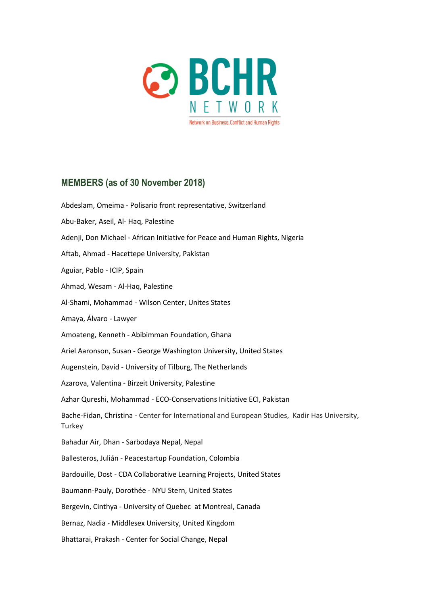

## **MEMBERS (as of 30 November 2018)**

Abdeslam, Omeima - Polisario front representative, Switzerland Abu-Baker, Aseil, Al- Haq, Palestine Adenji, Don Michael - African Initiative for Peace and Human Rights, Nigeria Aftab, Ahmad - Hacettepe University, Pakistan Aguiar, Pablo - ICIP, Spain Ahmad, Wesam - Al-Haq, Palestine Al-Shami, Mohammad - Wilson Center, Unites States Amaya, Álvaro - Lawyer Amoateng, Kenneth - Abibimman Foundation, Ghana Ariel Aaronson, Susan - George Washington University, United States Augenstein, David - University of Tilburg, The Netherlands Azarova, Valentina - Birzeit University, Palestine Azhar Qureshi, Mohammad - ECO-Conservations Initiative ECI, Pakistan Bache-Fidan, Christina - Center for International and European Studies, Kadir Has University, **Turkey** Bahadur Air, Dhan - Sarbodaya Nepal, Nepal Ballesteros, Julián - Peacestartup Foundation, Colombia Bardouille, Dost - CDA Collaborative Learning Projects, United States Baumann-Pauly, Dorothée - NYU Stern, United States Bergevin, Cinthya - University of Quebec at Montreal, Canada Bernaz, Nadia - Middlesex University, United Kingdom Bhattarai, Prakash - Center for Social Change, Nepal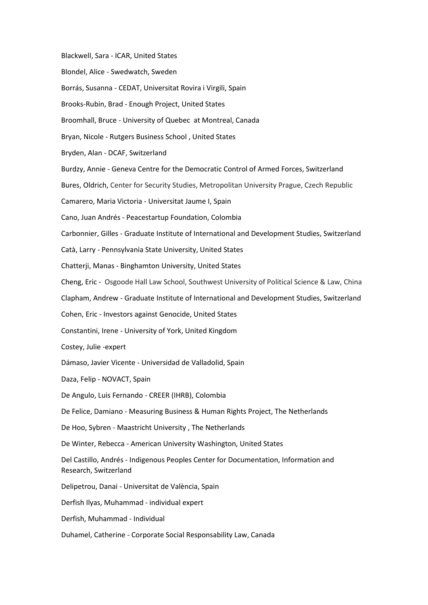Blackwell, Sara - ICAR, United States Blondel, Alice - Swedwatch, Sweden Borrás, Susanna - CEDAT, Universitat Rovira i Virgili, Spain Brooks-Rubin, Brad - Enough Project, United States Broomhall, Bruce - University of Quebec at Montreal, Canada Bryan, Nicole - Rutgers Business School , United States Bryden, Alan - DCAF, Switzerland Burdzy, Annie - Geneva Centre for the Democratic Control of Armed Forces, Switzerland Bures, Oldrich, Center for Security Studies, Metropolitan University Prague, Czech Republic Camarero, Maria Victoria - Universitat Jaume I, Spain Cano, Juan Andrés - Peacestartup Foundation, Colombia Carbonnier, Gilles - Graduate Institute of International and Development Studies, Switzerland Catà, Larry - Pennsylvania State University, United States Chatterji, Manas - Binghamton University, United States Cheng, Eric - Osgoode Hall Law School, Southwest University of Political Science & Law, China Clapham, Andrew - Graduate Institute of International and Development Studies, Switzerland Cohen, Eric - Investors against Genocide, United States Constantini, Irene - University of York, United Kingdom Costey, Julie -expert Dámaso, Javier Vicente - Universidad de Valladolid, Spain Daza, Felip - NOVACT, Spain De Angulo, Luis Fernando - CREER (IHRB), Colombia De Felice, Damiano - Measuring Business & Human Rights Project, The Netherlands De Hoo, Sybren - Maastricht University , The Netherlands De Winter, Rebecca - American University Washington, United States Del Castillo, Andrés - Indigenous Peoples Center for Documentation, Information and Research, Switzerland Delipetrou, Danai - Universitat de València, Spain Derfish Ilyas, Muhammad - individual expert Derfish, Muhammad - Individual Duhamel, Catherine - Corporate Social Responsability Law, Canada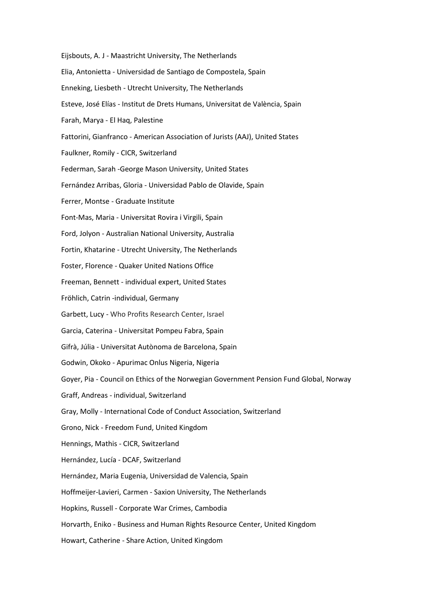Eijsbouts, A. J - Maastricht University, The Netherlands Elia, Antonietta - Universidad de Santiago de Compostela, Spain Enneking, Liesbeth - Utrecht University, The Netherlands Esteve, José Elías - Institut de Drets Humans, Universitat de València, Spain Farah, Marya - El Haq, Palestine Fattorini, Gianfranco - American Association of Jurists (AAJ), United States Faulkner, Romily - CICR, Switzerland Federman, Sarah -George Mason University, United States Fernández Arribas, Gloria - Universidad Pablo de Olavide, Spain Ferrer, Montse - Graduate Institute Font-Mas, Maria - Universitat Rovira i Virgili, Spain Ford, Jolyon - Australian National University, Australia Fortin, Khatarine - Utrecht University, The Netherlands Foster, Florence - Quaker United Nations Office Freeman, Bennett - individual expert, United States Fröhlich, Catrin -individual, Germany Garbett, Lucy - Who Profits Research Center, Israel Garcia, Caterina - Universitat Pompeu Fabra, Spain Gifrà, Júlia - Universitat Autònoma de Barcelona, Spain Godwin, Okoko - Apurimac Onlus Nigeria, Nigeria Goyer, Pia - Council on Ethics of the Norwegian Government Pension Fund Global, Norway Graff, Andreas - individual, Switzerland Gray, Molly - International Code of Conduct Association, Switzerland Grono, Nick - Freedom Fund, United Kingdom Hennings, Mathis - CICR, Switzerland Hernández, Lucía - DCAF, Switzerland Hernández, Maria Eugenia, Universidad de Valencia, Spain Hoffmeijer-Lavieri, Carmen - Saxion University, The Netherlands Hopkins, Russell - Corporate War Crimes, Cambodia Horvarth, Eniko - Business and Human Rights Resource Center, United Kingdom Howart, Catherine - Share Action, United Kingdom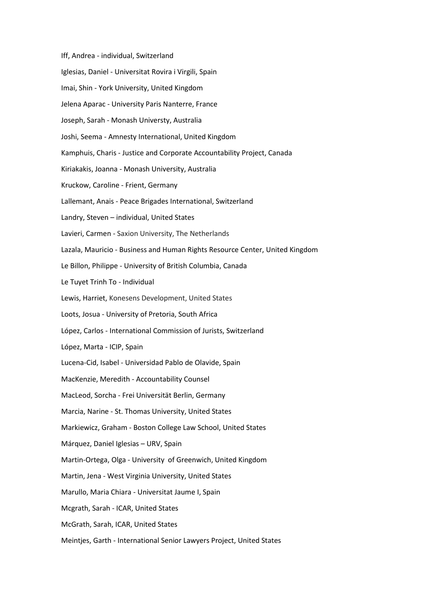Iff, Andrea - individual, Switzerland Iglesias, Daniel - Universitat Rovira i Virgili, Spain Imai, Shin - York University, United Kingdom Jelena Aparac - University Paris Nanterre, France Joseph, Sarah - Monash Universty, Australia Joshi, Seema - Amnesty International, United Kingdom Kamphuis, Charis - Justice and Corporate Accountability Project, Canada Kiriakakis, Joanna - Monash University, Australia Kruckow, Caroline - Frient, Germany Lallemant, Anais - Peace Brigades International, Switzerland Landry, Steven – individual, United States Lavieri, Carmen - Saxion University, The Netherlands Lazala, Mauricio - Business and Human Rights Resource Center, United Kingdom Le Billon, Philippe - University of British Columbia, Canada Le Tuyet Trinh To - Individual Lewis, Harriet, Konesens Development, United States Loots, Josua - University of Pretoria, South Africa López, Carlos - International Commission of Jurists, Switzerland López, Marta - ICIP, Spain Lucena-Cid, Isabel - Universidad Pablo de Olavide, Spain MacKenzie, Meredith - Accountability Counsel MacLeod, Sorcha - Frei Universität Berlin, Germany Marcia, Narine - St. Thomas University, United States Markiewicz, Graham - Boston College Law School, United States Márquez, Daniel Iglesias – URV, Spain Martin-Ortega, Olga - University of Greenwich, United Kingdom Martin, Jena - West Virginia University, United States Marullo, Maria Chiara - Universitat Jaume I, Spain Mcgrath, Sarah - ICAR, United States McGrath, Sarah, ICAR, United States Meintjes, Garth - International Senior Lawyers Project, United States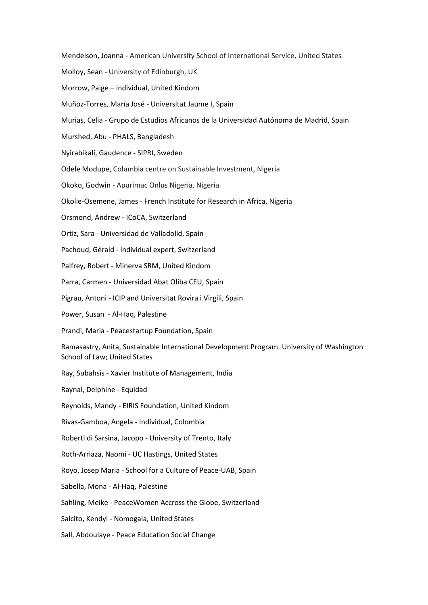Mendelson, Joanna - American University School of International Service, United States

Molloy, Sean - University of Edinburgh, UK

Morrow, Paige – individual, United Kindom

Muñoz-Torres, María José - Universitat Jaume I, Spain

Murias, Celia - Grupo de Estudios Africanos de la Universidad Autónoma de Madrid, Spain

Murshed, Abu - PHALS, Bangladesh

Nyirabikali, Gaudence - SIPRI, Sweden

Odele Modupe, Columbia centre on Sustainable Investment, Nigeria

Okoko, Godwin - Apurimac Onlus Nigeria, Nigeria

Okolie-Osemene, James - French Institute for Research in Africa, Nigeria

Orsmond, Andrew - ICoCA, Switzerland

Ortiz, Sara - Universidad de Valladolid, Spain

Pachoud, Gérald - individual expert, Switzerland

Palfrey, Robert - Minerva SRM, United Kindom

Parra, Carmen - Universidad Abat Oliba CEU, Spain

Pigrau, Antoni - ICIP and Universitat Rovira i Virgili, Spain

Power, Susan - Al-Haq, Palestine

Prandi, Maria - Peacestartup Foundation, Spain

Ramasastry, Anita, Sustainable International Development Program. University of Washington School of Law; United States

Ray, Subahsis - Xavier Institute of Management, India

Raynal, Delphine - Equidad

Reynolds, Mandy - EIRIS Foundation, United Kindom

Rivas-Gamboa, Angela - Individual, Colombia

Roberti di Sarsina, Jacopo - University of Trento, Italy

Roth-Arriaza, Naomi - UC Hastings, United States

Royo, Josep Maria - School for a Culture of Peace-UAB, Spain

Sabella, Mona - Al-Haq, Palestine

Sahling, Meike - PeaceWomen Accross the Globe, Switzerland

Salcito, Kendyl - Nomogaia, United States

Sall, Abdoulaye - Peace Education Social Change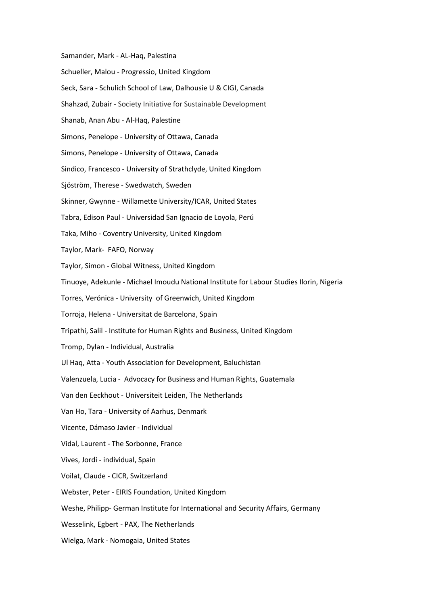Samander, Mark - AL-Haq, Palestina

- Schueller, Malou Progressio, United Kingdom
- Seck, Sara Schulich School of Law, Dalhousie U & CIGI, Canada
- Shahzad, Zubair Society Initiative for Sustainable Development
- Shanab, Anan Abu Al-Haq, Palestine
- Simons, Penelope University of Ottawa, Canada
- Simons, Penelope University of Ottawa, Canada
- Sindico, Francesco University of Strathclyde, United Kingdom
- Sjöström, Therese Swedwatch, Sweden
- Skinner, Gwynne Willamette University/ICAR, United States
- Tabra, Edison Paul Universidad San Ignacio de Loyola, Perú
- Taka, Miho Coventry University, United Kingdom
- Taylor, Mark- FAFO, Norway
- Taylor, Simon Global Witness, United Kingdom
- Tinuoye, Adekunle Michael Imoudu National Institute for Labour Studies Ilorin, Nigeria
- Torres, Verónica University of Greenwich, United Kingdom
- Torroja, Helena Universitat de Barcelona, Spain
- Tripathi, Salil Institute for Human Rights and Business, United Kingdom
- Tromp, Dylan Individual, Australia
- Ul Haq, Atta Youth Association for Development, Baluchistan
- Valenzuela, Lucia Advocacy for Business and Human Rights, Guatemala
- Van den Eeckhout Universiteit Leiden, The Netherlands
- Van Ho, Tara University of Aarhus, Denmark
- Vicente, Dámaso Javier Individual
- Vidal, Laurent The Sorbonne, France
- Vives, Jordi individual, Spain
- Voilat, Claude CICR, Switzerland
- Webster, Peter EIRIS Foundation, United Kingdom
- Weshe, Philipp- German Institute for International and Security Affairs, Germany
- Wesselink, Egbert PAX, The Netherlands
- Wielga, Mark Nomogaia, United States